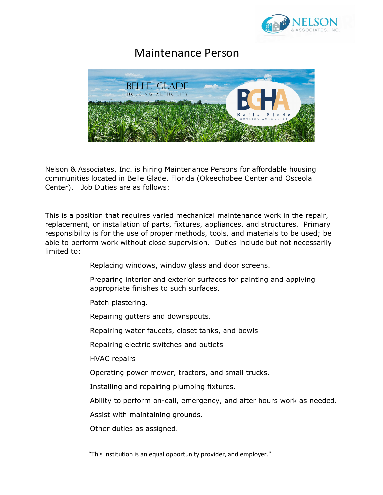

## Maintenance Person



Nelson & Associates, Inc. is hiring Maintenance Persons for affordable housing communities located in Belle Glade, Florida (Okeechobee Center and Osceola Center). Job Duties are as follows:

This is a position that requires varied mechanical maintenance work in the repair, replacement, or installation of parts, fixtures, appliances, and structures. Primary responsibility is for the use of proper methods, tools, and materials to be used; be able to perform work without close supervision. Duties include but not necessarily limited to:

Replacing windows, window glass and door screens.

Preparing interior and exterior surfaces for painting and applying appropriate finishes to such surfaces.

Patch plastering.

Repairing gutters and downspouts.

Repairing water faucets, closet tanks, and bowls

Repairing electric switches and outlets

HVAC repairs

Operating power mower, tractors, and small trucks.

Installing and repairing plumbing fixtures.

Ability to perform on-call, emergency, and after hours work as needed.

Assist with maintaining grounds.

Other duties as assigned.

"This institution is an equal opportunity provider, and employer."